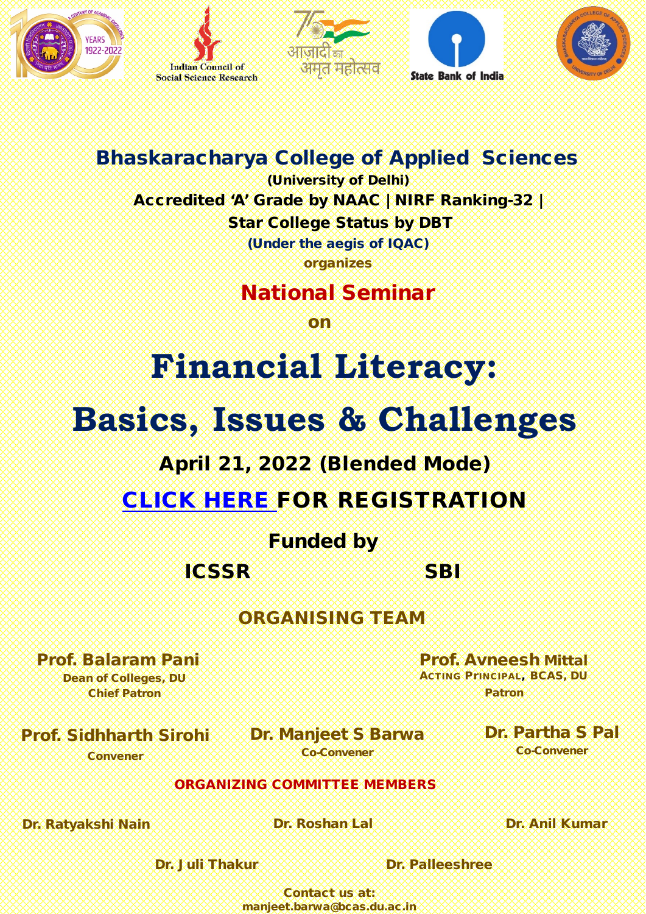









### Bhaskaracharya College of Applied Sciences

(University of Delhi) Accredited 'A' Grade by NAAC | NIRF Ranking-32 | Star College Status by DBT

(Under the aegis of IQAC) organizes

### National Seminar

on

# **Financial Literacy:**

# **Basics, Issues & Challenges**

### April 21, 2022 (Blended Mode)

### [CLICK HERE](https://docs.google.com/forms/d/e/1FAIpQLSdBG8jWblQKDlpjwANSihTsBxOZ0zjdqgUp5OvGP_EPb5F52A/viewform) FOR REGISTRATION

### Funded by

ICSSR**SSRSSSSSSSSSSSSSSSS**BI

### ORGANISING TEAM

#### Prof. Balaram Pani

Dean of Colleges, DU Chief Patron

Prof. Avneesh Mittal ACTING PrINCIPAL, BCAS, DU Patron

#### Prof. Sidhharth Sirohi Convener

Dr. Manjeet S Barwa Co-Convener

#### Dr. Partha S Pal Co-Convener

#### ORGANIZING COMMITTEE MEMBERS

Dr. Ratyakshi Nain XXXXXXXXXXXX**Dr. Roshan Lal XXXXXXXXXXXXXDr. Anil Kumar** 

Dr. Juli Thakur XXXXXXXXXXX**Dr. Palleeshree** 

Contact us at: manjeet.barwa@bcas.du.ac.in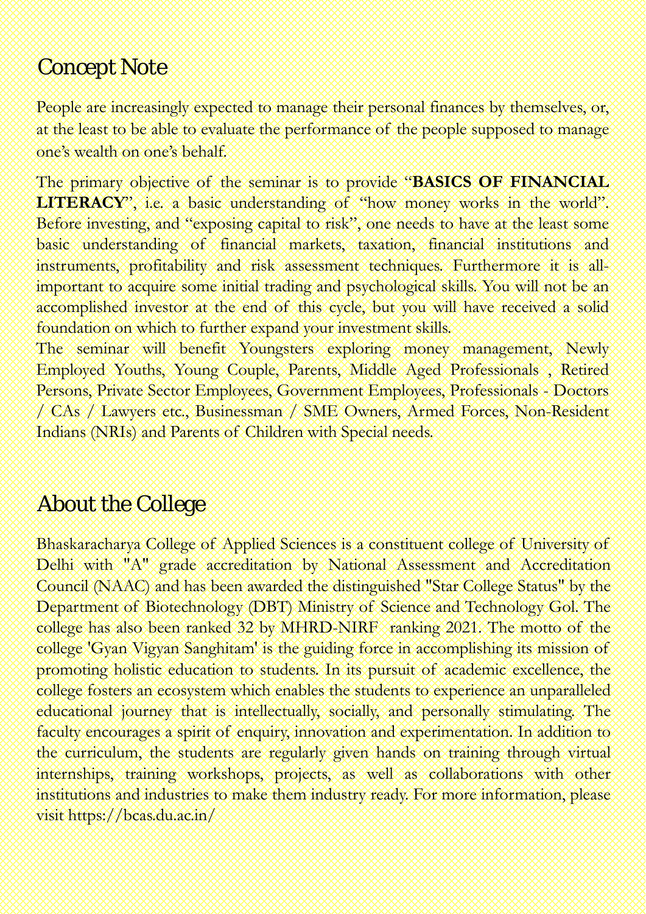### Concept Note

People are increasingly expected to manage their personal finances by themselves, or, at the least to be able to evaluate the performance of the people supposed to manage one's wealth on one's behalf.

The primary objective of the seminar is to provide "**BASICS OF FINANCIAL** LITERACY", i.e. a basic understanding of "how money works in the world". Before investing, and "exposing capital to risk", one needs to have at the least some basic understanding of financial markets, taxation, financial institutions and instruments, profitability and risk assessment techniques. Furthermore it is allimportant to acquire some initial trading and psychological skills. You will not be an accomplished investor at the end of this cycle, but you will have received a solid foundation on which to further expand your investment skills.

The seminar will benefit Youngsters exploring money management, Newly Employed Youths, Young Couple, Parents, Middle Aged Professionals , Retired Persons, Private Sector Employees, Government Employees, Professionals - Doctors / CAs / Lawyers etc., Businessman / SME Owners, Armed Forces, Non-Resident Indians (NRIs) and Parents of Children with Special needs.

### About the College

Bhaskaracharya College of Applied Sciences is a constituent college of University of Delhi with "A" grade accreditation by National Assessment and Accreditation Council (NAAC) and has been awarded the distinguished "Star College Status" by the Department of Biotechnology (DBT) Ministry of Science and Technology Gol. The college has also been ranked 32 by MHRD-NIRF ranking 2021. The motto of the college 'Gyan Vigyan Sanghitam' is the guiding force in accomplishing its mission of promoting holistic education to students. In its pursuit of academic excellence, the college fosters an ecosystem which enables the students to experience an unparalleled educational journey that is intellectually, socially, and personally stimulating. The faculty encourages a spirit of enquiry, innovation and experimentation. In addition to the curriculum, the students are regularly given hands on training through virtual internships, training workshops, projects, as well as collaborations with other institutions and industries to make them industry ready. For more information, please visit https://bcas.du.ac.in/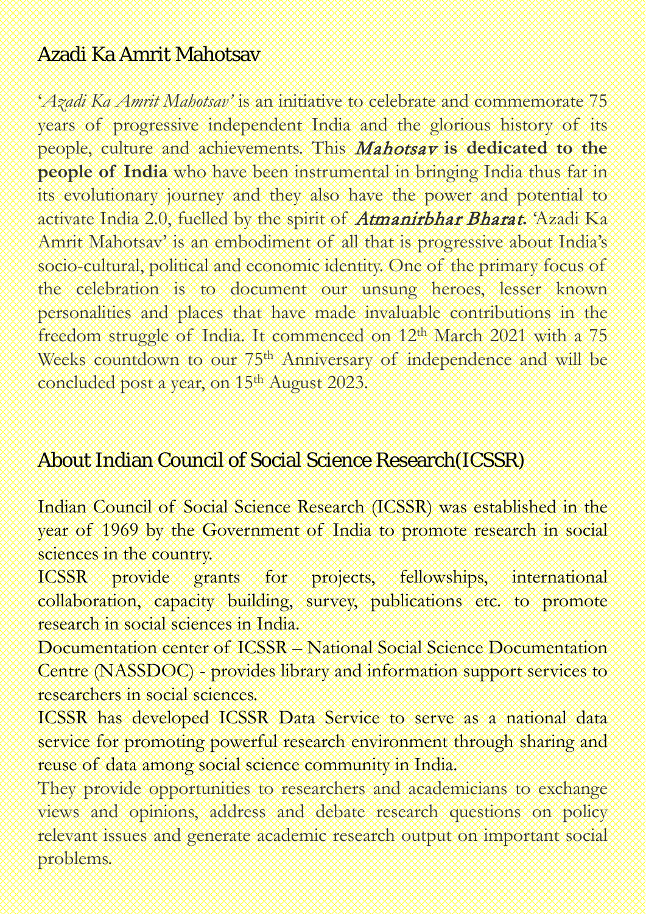### Azadi Ka Amrit Mahotsav

'*Azadi Ka Amrit Mahotsav'* is an initiative to celebrate and commemorate 75 years of progressive independent India and the glorious history of its people, culture and achievements. This Mahotsav **is dedicated to the people of India** who have been instrumental in bringing India thus far in its evolutionary journey and they also have the power and potential to activate India 2.0, fuelled by the spirit of Atmanirbhar Bharat**.** 'Azadi Ka Amrit Mahotsav' is an embodiment of all that is progressive about India's socio-cultural, political and economic identity. One of the primary focus of the celebration is to document our unsung heroes, lesser known personalities and places that have made invaluable contributions in the freedom struggle of India. It commenced on 12th March 2021 with a 75 Weeks countdown to our 75th Anniversary of independence and will be concluded post a year, on 15th August 2023.

### About Indian Council of Social Science Research(ICSSR)

Indian Council of Social Science Research (ICSSR) was established in the year of 1969 by the Government of India to promote research in social sciences in the country.

ICSSR provide grants for projects, fellowships, international collaboration, capacity building, survey, publications etc. to promote research in social sciences in India.

Documentation center of ICSSR – National Social Science Documentation Centre (NASSDOC) - provides library and information support services to researchers in social sciences.

ICSSR has developed ICSSR Data Service to serve as a national data service for promoting powerful research environment through sharing and reuse of data among social science community in India.

They provide opportunities to researchers and academicians to exchange views and opinions, address and debate research questions on policy relevant issues and generate academic research output on important social problems.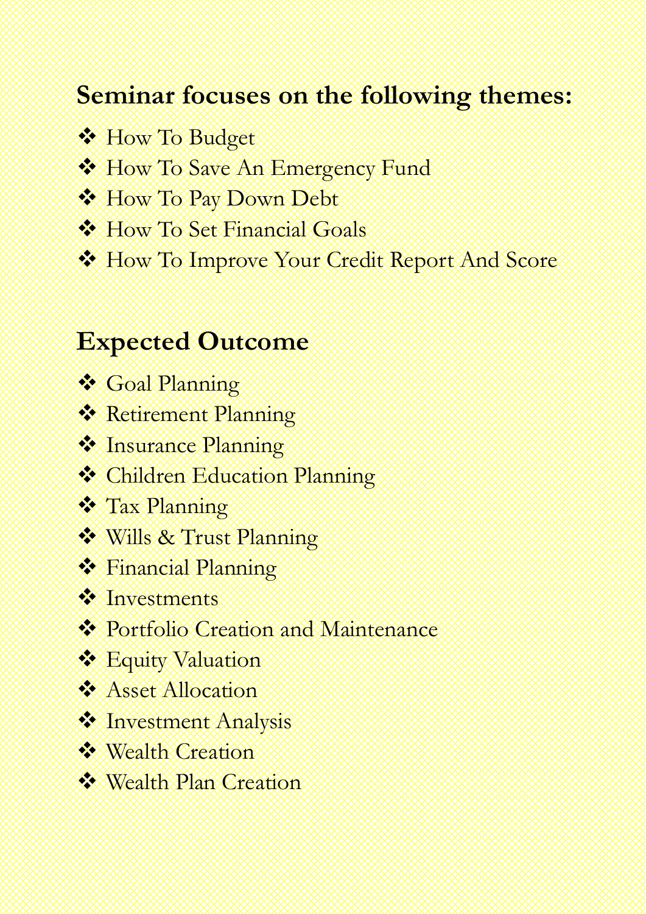## **Seminar focuses on the following themes:**

- **W** How To Budget
- How To Save An Emergency Fund
- **WHow To Pay Down Debt**
- **\* How To Set Financial Goals**
- How To Improve Your Credit Report And Score

## **Expected Outcome**

- Goal Planning
- **Retirement Planning**
- **Manuance Planning**
- **Children Education Planning**
- Tax Planning
- Wills & Trust Planning
- Financial Planning
- Investments
- **\*** Portfolio Creation and Maintenance
- **Equity Valuation**
- **Asset Allocation**
- *Minvestment Analysis*
- Wealth Creation
- Wealth Plan Creation